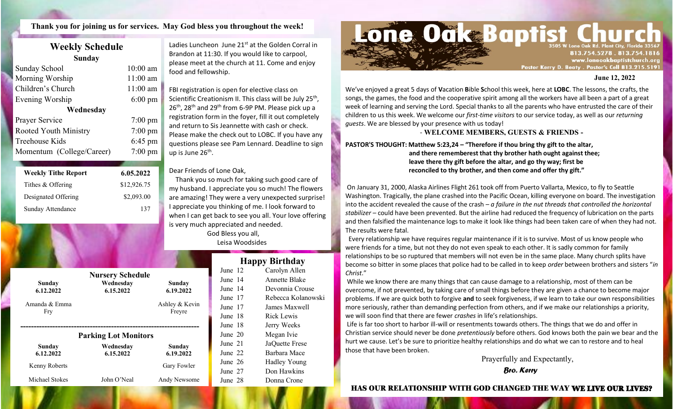**Thank you for joining us for services. May God bless you throughout the week!**

### **Weekly Schedule Sunday**

'az

| Sunday School<br>Morning Worship | $10:00$ am<br>$11:00$ am | please meet at the church at 11. Come and ei<br>food and fellowship.                            |
|----------------------------------|--------------------------|-------------------------------------------------------------------------------------------------|
| Children's Church                | $11:00$ am               | FBI registration is open for elective class on                                                  |
| Evening Worship                  | $6:00 \text{ pm}$        | Scientific Creationism II. This class will be July                                              |
| Wednesday                        |                          | 26 <sup>th</sup> , 28 <sup>th</sup> and 29 <sup>th</sup> from 6-9P PM. Please pick t            |
| Prayer Service                   | $7:00 \text{ pm}$        | registration form in the foyer, fill it out compl                                               |
| Rooted Youth Ministry            | $7:00 \text{ pm}$        | and return to Sis Jeannette with cash or checl<br>Please make the check out to LOBC. If you hat |
| Treehouse Kids                   | $6:45 \text{ pm}$        | questions please see Pam Lennard. Deadline                                                      |
| Momentum (College/Career)        | $7:00 \text{ pm}$        | up is June 26 <sup>th</sup> .                                                                   |
|                                  |                          |                                                                                                 |

| <b>Weekly Tithe Report</b> | 6.05.2022   | Dear Friends of Lone Oak,                                                                                                                                                                                                                                                        |
|----------------------------|-------------|----------------------------------------------------------------------------------------------------------------------------------------------------------------------------------------------------------------------------------------------------------------------------------|
| Tithes & Offering          | \$12,926.75 | Thank you so much for taking such good c<br>my husband. I appreciate you so much! The                                                                                                                                                                                            |
| Designated Offering        | \$2,093.00  | are amazing! They were a very unexpected s                                                                                                                                                                                                                                       |
| Sunday Attendance          | 137         | I appreciate you thinking of me. I look forwa<br>$\sim$ . The set of the set of the set of the set of the set of the set of the set of the set of the set of the set of the set of the set of the set of the set of the set of the set of the set of the set of the set of the s |

Ladies Luncheon June 21<sup>st</sup> at the Golden Corral in Brandon at 11:30. If you would like to carpool, please meet at the church at 11. Come and enjoy food and fellowship.

**PASTORY 14:21,23 PM** questions please see Pam Lennard. Deadline to sign FBI registration is open for elective class on Scientific Creationism II. This class will be July 25<sup>th</sup>,  $26<sup>th</sup>$ , 28<sup>th</sup> and 29<sup>th</sup> from 6-9P PM. Please pick up a registration form in the foyer, fill it out completely and return to Sis Jeannette with cash or check. Please make the check out to LOBC. If you have any

#### Dear Friends of Lone Oak,

 Thank you so much for taking such good care of my husband. I appreciate you so much! The flowers are amazing! They were a very unexpected surprise! I appreciate you thinking of me. I look forward to when I can get back to see you all. Your love offering is very much appreciated and needed.

 God Bless you all, Leisa Woodsides

| Sunday<br>6.12.2022  | <b>Nursery Schedule</b><br>Wednesdav<br>6.15.2022 | Sunday<br>6.19.2022      |
|----------------------|---------------------------------------------------|--------------------------|
| Amanda & Emma<br>Fry |                                                   | Ashley & Kevin<br>Freyre |
|                      | <b>Parking Lot Monitors</b>                       |                          |
| Sunday<br>6.12.2022  | Wednesdav<br>6.15.2022                            | Sunday<br>6.19.2022      |
| Kenny Roberts        |                                                   | Gary Fowler              |
| Michael Stokes       | John O'Neal                                       | Andy Newsome             |

| <b>Happy Birthday</b> |  |                    |  |  |
|-----------------------|--|--------------------|--|--|
| June 12               |  | Carolyn Allen      |  |  |
| June 14               |  | Annette Blake      |  |  |
| June 14               |  | Devonnia Crouse    |  |  |
| June 17               |  | Rebecca Kolanowski |  |  |
| June 17               |  | James Maxwell      |  |  |
| June 18               |  | Rick Lewis         |  |  |
| June 18               |  | Jerry Weeks        |  |  |
| June 20               |  | Megan Ivie         |  |  |
| June 21               |  | JaQuette Frese     |  |  |
| June 22               |  | Barbara Mace       |  |  |
| June 26               |  | Hadley Young       |  |  |
| June 27               |  | Don Hawkins        |  |  |
| June 28               |  | Donna Crone        |  |  |
|                       |  |                    |  |  |



#### **June 12, 2022**

We've enjoyed a great 5 days of **V**acation **B**ible **S**chool this week, here at **LOBC**. The lessons, the crafts, the songs, the games, the food and the cooperative spirit among all the workers have all been a part of a great week of learning and serving the Lord. Special thanks to all the parents who have entrusted the care of their children to us this week. We welcome our *first-time visitors* to our service today, as well as our *returning guests*. We are blessed by your presence with us today!

#### - **WELCOME MEMBERS, GUESTS & FRIENDS -**

**PASTOR'S THOUGHT: Matthew 5:23,24 – "Therefore if thou bring thy gift to the altar, and there rememberest that thy brother hath ought against thee; leave there thy gift before the altar, and go thy way; first be reconciled to thy brother, and then come and offer thy gift."**

On January 31, 2000, Alaska Airlines Flight 261 took off from Puerto Vallarta, Mexico, to fly to Seattle Washington. Tragically, the plane crashed into the Pacific Ocean, killing everyone on board. The investigation into the accident revealed the cause of the crash – *a failure in the nut threads that controlled the horizontal stabilizer* – could have been prevented. But the airline had reduced the frequency of lubrication on the parts and then falsified the maintenance logs to make it look like things had been taken care of when they had not. The results were fatal.

 Every relationship we have requires regular maintenance if it is to survive. Most of us know people who were friends for a time, but not they do not even speak to each other. It is sadly common for family relationships to be so ruptured that members will not even be in the same place. Many church splits have become so bitter in some places that police had to be called in to keep *order* between brothers and sisters "*in Christ*."

While we know there are many things that can cause damage to a relationship, most of them can be overcome, if not prevented, by taking care of small things before they are given a chance to become major problems. If we are quick both to forgive **and** to seek forgiveness, if we learn to take our own responsibilities more seriously, rather than demanding perfection from others, and if we make our relationships a priority, we will soon find that there are fewer *crashes* in life's relationships.

Life is far too short to harbor ill-will or resentments towards others. The things that we do and offer in Christian service should never be done *pretentiously* before others. God knows both the pain we bear and the hurt we cause. Let's be sure to prioritize healthy relationships and do what we can to restore and to heal those that have been broken.

> Prayerfully and Expectantly, *Bro. Kerry*

#### HAS OUR RELATIONSHIP WITH GOD CHANGED THE WAY WE LIVE OUR LIVES?